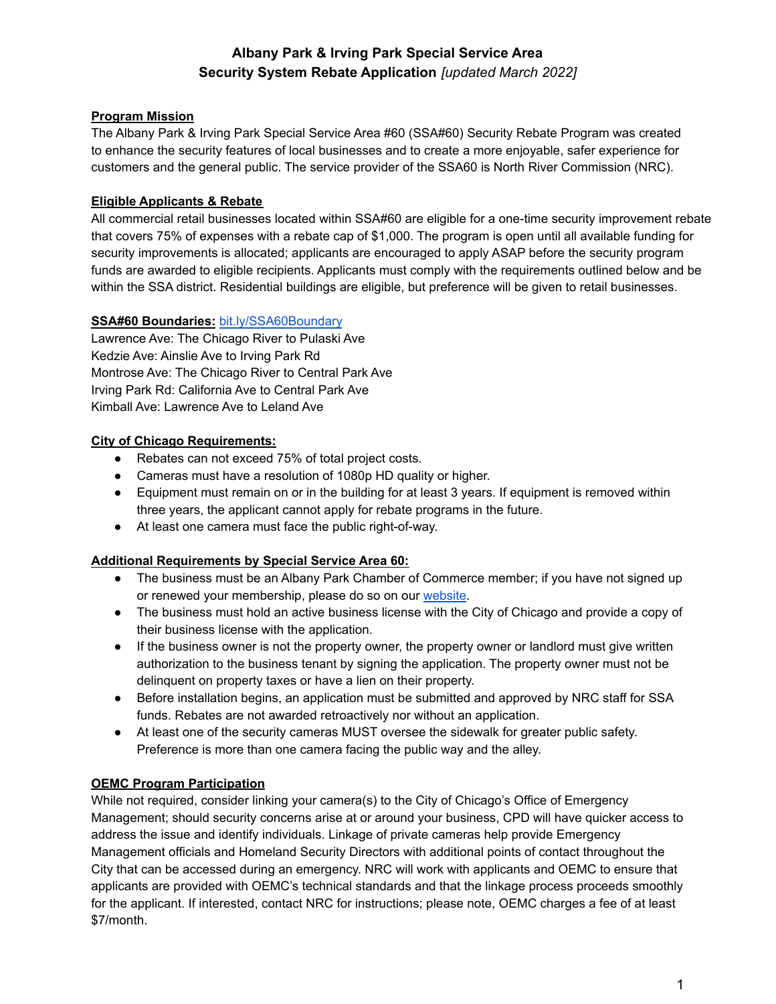## **Program Mission**

The Albany Park & Irving Park Special Service Area #60 (SSA#60) Security Rebate Program was created to enhance the security features of local businesses and to create a more enjoyable, safer experience for customers and the general public. The service provider of the SSA60 is North River Commission (NRC).

#### **Eligible Applicants & Rebate**

All commercial retail businesses located within SSA#60 are eligible for a one-time security improvement rebate that covers 75% of expenses with a rebate cap of \$1,000. The program is open until all available funding for security improvements is allocated; applicants are encouraged to apply ASAP before the security program funds are awarded to eligible recipients. Applicants must comply with the requirements outlined below and be within the SSA district. Residential buildings are eligible, but preference will be given to retail businesses.

#### **SSA#60 Boundaries:** [bit.ly/SSA60Boundary](https://bit.ly/SSA60Boundary)

Lawrence Ave: The Chicago River to Pulaski Ave Kedzie Ave: Ainslie Ave to Irving Park Rd Montrose Ave: The Chicago River to Central Park Ave Irving Park Rd: California Ave to Central Park Ave Kimball Ave: Lawrence Ave to Leland Ave

#### **City of Chicago Requirements:**

- Rebates can not exceed 75% of total project costs.
- Cameras must have a resolution of 1080p HD quality or higher.
- Equipment must remain on or in the building for at least 3 years. If equipment is removed within three years, the applicant cannot apply for rebate programs in the future.
- At least one camera must face the public right-of-way.

#### **Additional Requirements by Special Service Area 60:**

- The business must be an Albany Park Chamber of Commerce member; if you have not signed up or renewed your membership, please do so on our [website](https://northrivercommission.z2systems.com/np/clients/northrivercommission/membershipJoin.jsp?&constTypeFlag=org).
- The business must hold an active business license with the City of Chicago and provide a copy of their business license with the application.
- If the business owner is not the property owner, the property owner or landlord must give written authorization to the business tenant by signing the application. The property owner must not be delinquent on property taxes or have a lien on their property.
- Before installation begins, an application must be submitted and approved by NRC staff for SSA funds. Rebates are not awarded retroactively nor without an application.
- At least one of the security cameras MUST oversee the sidewalk for greater public safety. Preference is more than one camera facing the public way and the alley.

#### **OEMC Program Participation**

While not required, consider linking your camera(s) to the City of Chicago's Office of Emergency Management; should security concerns arise at or around your business, CPD will have quicker access to address the issue and identify individuals. Linkage of private cameras help provide Emergency Management officials and Homeland Security Directors with additional points of contact throughout the City that can be accessed during an emergency. NRC will work with applicants and OEMC to ensure that applicants are provided with OEMC's technical standards and that the linkage process proceeds smoothly for the applicant. If interested, contact NRC for instructions; please note, OEMC charges a fee of at least \$7/month.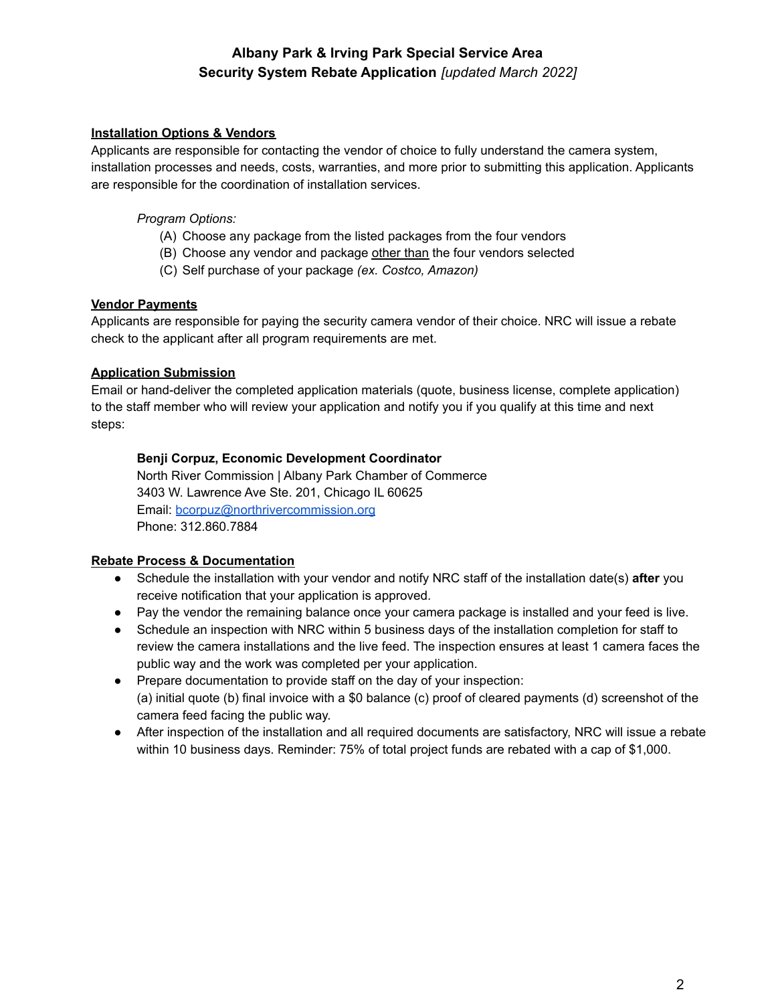## **Installation Options & Vendors**

Applicants are responsible for contacting the vendor of choice to fully understand the camera system, installation processes and needs, costs, warranties, and more prior to submitting this application. Applicants are responsible for the coordination of installation services.

#### *Program Options:*

- (A) Choose any package from the listed packages from the four vendors
- (B) Choose any vendor and package other than the four vendors selected
- (C) Self purchase of your package *(ex. Costco, Amazon)*

#### **Vendor Payments**

Applicants are responsible for paying the security camera vendor of their choice. NRC will issue a rebate check to the applicant after all program requirements are met.

## **Application Submission**

Email or hand-deliver the completed application materials (quote, business license, complete application) to the staff member who will review your application and notify you if you qualify at this time and next steps:

#### **Benji Corpuz, Economic Development Coordinator**

North River Commission | Albany Park Chamber of Commerce 3403 W. Lawrence Ave Ste. 201, Chicago IL 60625 Email: [bcorpuz@northrivercommission.org](mailto:bcorpuz@northrivercommission.org) Phone: 312.860.7884

## **Rebate Process & Documentation**

- Schedule the installation with your vendor and notify NRC staff of the installation date(s) **after** you receive notification that your application is approved.
- Pay the vendor the remaining balance once your camera package is installed and your feed is live.
- Schedule an inspection with NRC within 5 business days of the installation completion for staff to review the camera installations and the live feed. The inspection ensures at least 1 camera faces the public way and the work was completed per your application.
- Prepare documentation to provide staff on the day of your inspection: (a) initial quote (b) final invoice with a \$0 balance (c) proof of cleared payments (d) screenshot of the camera feed facing the public way.
- After inspection of the installation and all required documents are satisfactory, NRC will issue a rebate within 10 business days. Reminder: 75% of total project funds are rebated with a cap of \$1,000.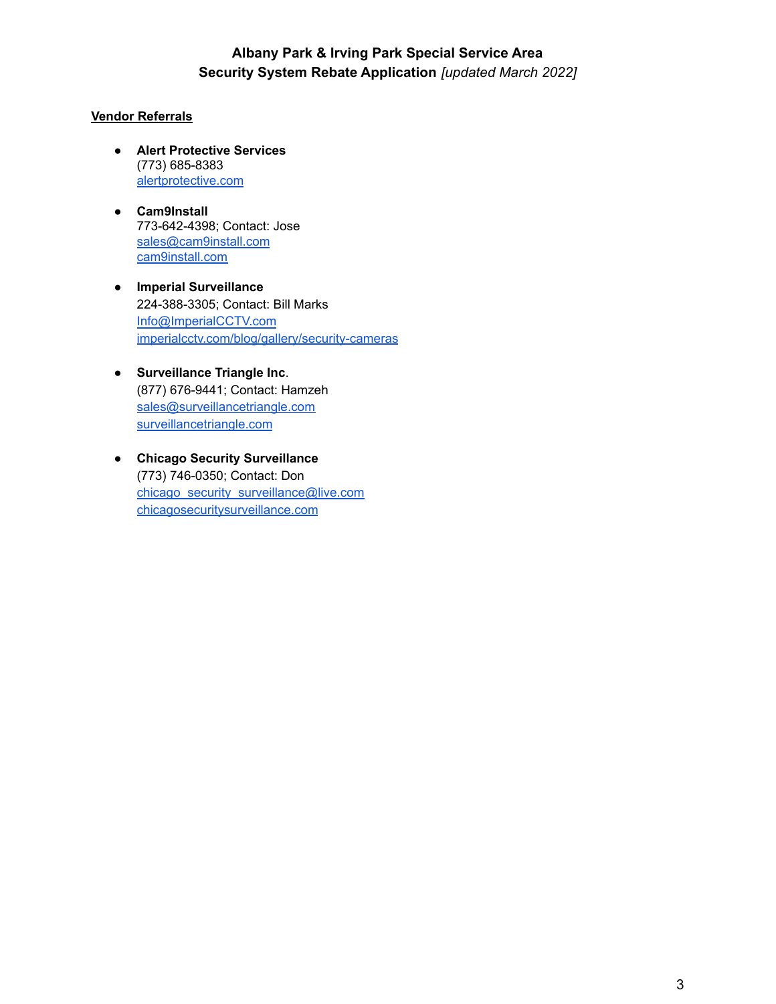#### **Vendor Referrals**

- **Alert Protective Services** (773) 685-8383 [alertprotective.com](https://alertprotective.com/)
- **Cam9Install** 773-642-4398; Contact: Jose [sales@cam9install.com](mailto:sales@cam9install.com) [cam9install.com](http://www.cam9install.com/index.html)
- **● Imperial Surveillance** 224-388-3305; Contact: Bill Marks [Info@ImperialCCTV.com](mailto:Info@ImperialCCTV.com) [imperialcctv.com/blog/gallery/security-cameras](http://www.imperialcctv.com/blog/gallery/security-cameras)
- **Surveillance Triangle Inc**. (877) 676-9441; Contact: Hamzeh [sales@surveillancetriangle.com](mailto:sales@surveillancetriangle.com) [surveillancetriangle.com](http://www.surveillancetriangle.com)
- **● Chicago Security Surveillance** (773) 746-0350; Contact: Don [chicago\\_security\\_surveillance@live.com](mailto:chicago_security_surveillance@live.com) [chicagosecuritysurveillance.com](http://chicagosecuritysurveillance.com/)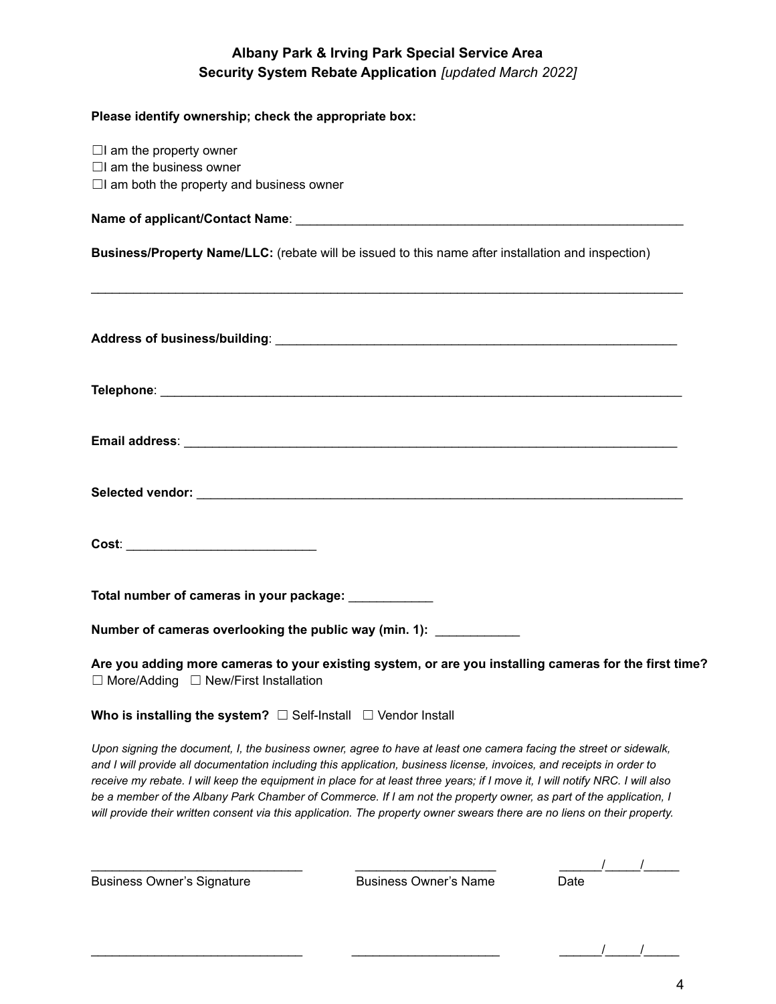## **Please identify ownership; check the appropriate box:**

| $\Box$ I am the property owner<br>$\Box$ I am the business owner<br>$\Box$ I am both the property and business owner                                                                                                                                                                                                                                                                                                                                                                                                                                                                                                         |
|------------------------------------------------------------------------------------------------------------------------------------------------------------------------------------------------------------------------------------------------------------------------------------------------------------------------------------------------------------------------------------------------------------------------------------------------------------------------------------------------------------------------------------------------------------------------------------------------------------------------------|
|                                                                                                                                                                                                                                                                                                                                                                                                                                                                                                                                                                                                                              |
| Business/Property Name/LLC: (rebate will be issued to this name after installation and inspection)                                                                                                                                                                                                                                                                                                                                                                                                                                                                                                                           |
|                                                                                                                                                                                                                                                                                                                                                                                                                                                                                                                                                                                                                              |
|                                                                                                                                                                                                                                                                                                                                                                                                                                                                                                                                                                                                                              |
|                                                                                                                                                                                                                                                                                                                                                                                                                                                                                                                                                                                                                              |
|                                                                                                                                                                                                                                                                                                                                                                                                                                                                                                                                                                                                                              |
|                                                                                                                                                                                                                                                                                                                                                                                                                                                                                                                                                                                                                              |
| Total number of cameras in your package: ____________                                                                                                                                                                                                                                                                                                                                                                                                                                                                                                                                                                        |
| Number of cameras overlooking the public way (min. 1):                                                                                                                                                                                                                                                                                                                                                                                                                                                                                                                                                                       |
| Are you adding more cameras to your existing system, or are you installing cameras for the first time?<br>$\Box$ More/Adding $\Box$ New/First Installation                                                                                                                                                                                                                                                                                                                                                                                                                                                                   |
| Who is installing the system? $\Box$ Self-Install $\Box$ Vendor Install                                                                                                                                                                                                                                                                                                                                                                                                                                                                                                                                                      |
| Upon signing the document, I, the business owner, agree to have at least one camera facing the street or sidewalk,<br>and I will provide all documentation including this application, business license, invoices, and receipts in order to<br>receive my rebate. I will keep the equipment in place for at least three years; if I move it, I will notify NRC. I will also<br>be a member of the Albany Park Chamber of Commerce. If I am not the property owner, as part of the application, I<br>will provide their written consent via this application. The property owner swears there are no liens on their property. |

| <b>Business Owner's Signature</b> | <b>Business Owner's Name</b> | Date |  |
|-----------------------------------|------------------------------|------|--|

 $\frac{1}{\sqrt{2\pi}}$